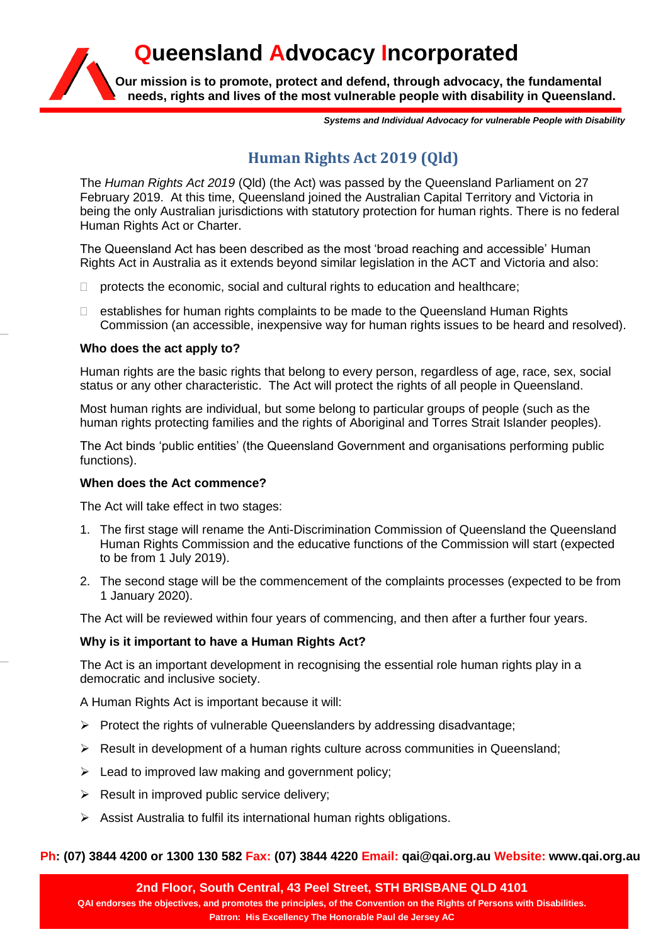**Our mission is to promote, protect and defend, through advocacy, the fundamental needs, rights and lives of the most vulnerable people with disability in Queensland.**

**Queensland Advocacy Incorporated**

*Systems and Individual Advocacy for vulnerable People with Disability*

# **Human Rights Act 2019 (Qld)**

The *Human Rights Act 2019* (Qld) (the Act) was passed by the Queensland Parliament on 27 February 2019. At this time, Queensland joined the Australian Capital Territory and Victoria in being the only Australian jurisdictions with statutory protection for human rights. There is no federal Human Rights Act or Charter.

The Queensland Act has been described as the most 'broad reaching and accessible' Human Rights Act in Australia as it extends beyond similar legislation in the ACT and Victoria and also:

- $\Box$  protects the economic, social and cultural rights to education and healthcare;
- $\Box$  establishes for human rights complaints to be made to the Queensland Human Rights Commission (an accessible, inexpensive way for human rights issues to be heard and resolved).

# **Who does the act apply to?**

Human rights are the basic rights that belong to every person, regardless of age, race, sex, social status or any other characteristic. The Act will protect the rights of all people in Queensland.

Most human rights are individual, but some belong to particular groups of people (such as the human rights protecting families and the rights of Aboriginal and Torres Strait Islander peoples).

The Act binds 'public entities' (the Queensland Government and organisations performing public functions).

# **When does the Act commence?**

The Act will take effect in two stages:

- 1. The first stage will rename the Anti-Discrimination Commission of Queensland the Queensland Human Rights Commission and the educative functions of the Commission will start (expected to be from 1 July 2019).
- 2. The second stage will be the commencement of the complaints processes (expected to be from 1 January 2020).

The Act will be reviewed within four years of commencing, and then after a further four years.

# **Why is it important to have a Human Rights Act?**

The Act is an important development in recognising the essential role human rights play in a democratic and inclusive society.

A Human Rights Act is important because it will:

- $\triangleright$  Protect the rights of vulnerable Queenslanders by addressing disadvantage;
- $\triangleright$  Result in development of a human rights culture across communities in Queensland;
- $\triangleright$  Lead to improved law making and government policy;
- $\triangleright$  Result in improved public service delivery;
- $\triangleright$  Assist Australia to fulfil its international human rights obligations.

# **Ph: (07) 3844 4200 or 1300 130 582 Fax: (07) 3844 4220 Email: qai@qai.org.au Website: www.qai.org.au**

**2nd Floor, South Central, 43 Peel Street, STH BRISBANE QLD 4101 QAI endorses the objectives, and promotes the principles, of the Convention on the Rights of Persons with Disabilities. Patron: His Excellency The Honorable Paul de Jersey AC**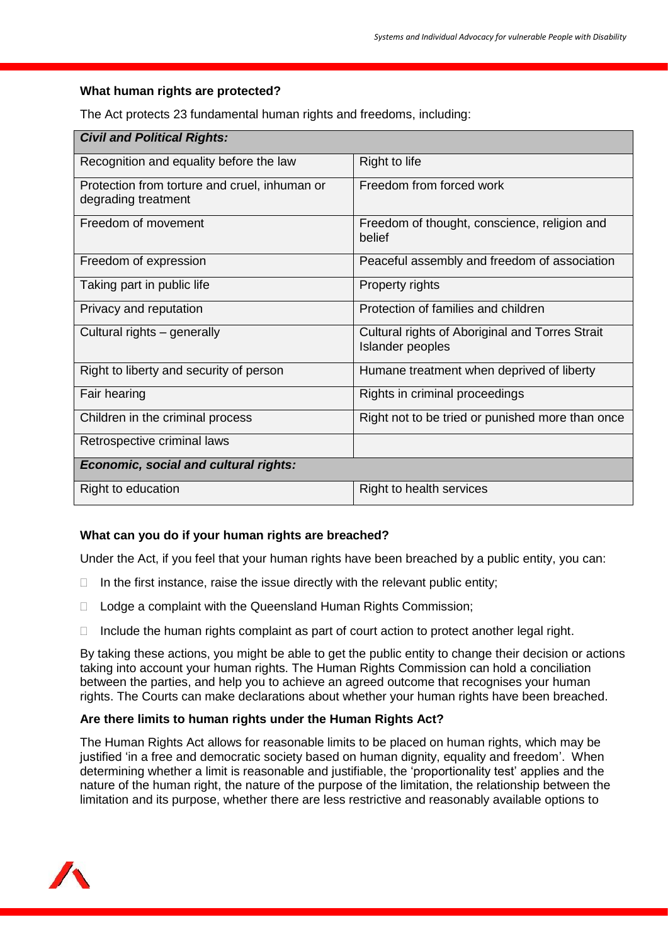#### **What human rights are protected?**

The Act protects 23 fundamental human rights and freedoms, including:

| <b>Civil and Political Rights:</b>                                   |                                                                     |
|----------------------------------------------------------------------|---------------------------------------------------------------------|
| Recognition and equality before the law                              | Right to life                                                       |
| Protection from torture and cruel, inhuman or<br>degrading treatment | Freedom from forced work                                            |
| Freedom of movement                                                  | Freedom of thought, conscience, religion and<br>belief              |
| Freedom of expression                                                | Peaceful assembly and freedom of association                        |
| Taking part in public life                                           | Property rights                                                     |
| Privacy and reputation                                               | Protection of families and children                                 |
| Cultural rights - generally                                          | Cultural rights of Aboriginal and Torres Strait<br>Islander peoples |
| Right to liberty and security of person                              | Humane treatment when deprived of liberty                           |
| Fair hearing                                                         | Rights in criminal proceedings                                      |
| Children in the criminal process                                     | Right not to be tried or punished more than once                    |
| Retrospective criminal laws                                          |                                                                     |
| Economic, social and cultural rights:                                |                                                                     |
| Right to education                                                   | Right to health services                                            |

# **What can you do if your human rights are breached?**

Under the Act, if you feel that your human rights have been breached by a public entity, you can:

- $\Box$  In the first instance, raise the issue directly with the relevant public entity;
- □ Lodge a complaint with the Queensland Human Rights Commission;
- $\Box$  Include the human rights complaint as part of court action to protect another legal right.

By taking these actions, you might be able to get the public entity to change their decision or actions taking into account your human rights. The Human Rights Commission can hold a conciliation between the parties, and help you to achieve an agreed outcome that recognises your human rights. The Courts can make declarations about whether your human rights have been breached.

# **Are there limits to human rights under the Human Rights Act?**

The Human Rights Act allows for reasonable limits to be placed on human rights, which may be justified 'in a free and democratic society based on human dignity, equality and freedom'. When determining whether a limit is reasonable and justifiable, the 'proportionality test' applies and the nature of the human right, the nature of the purpose of the limitation, the relationship between the limitation and its purpose, whether there are less restrictive and reasonably available options to